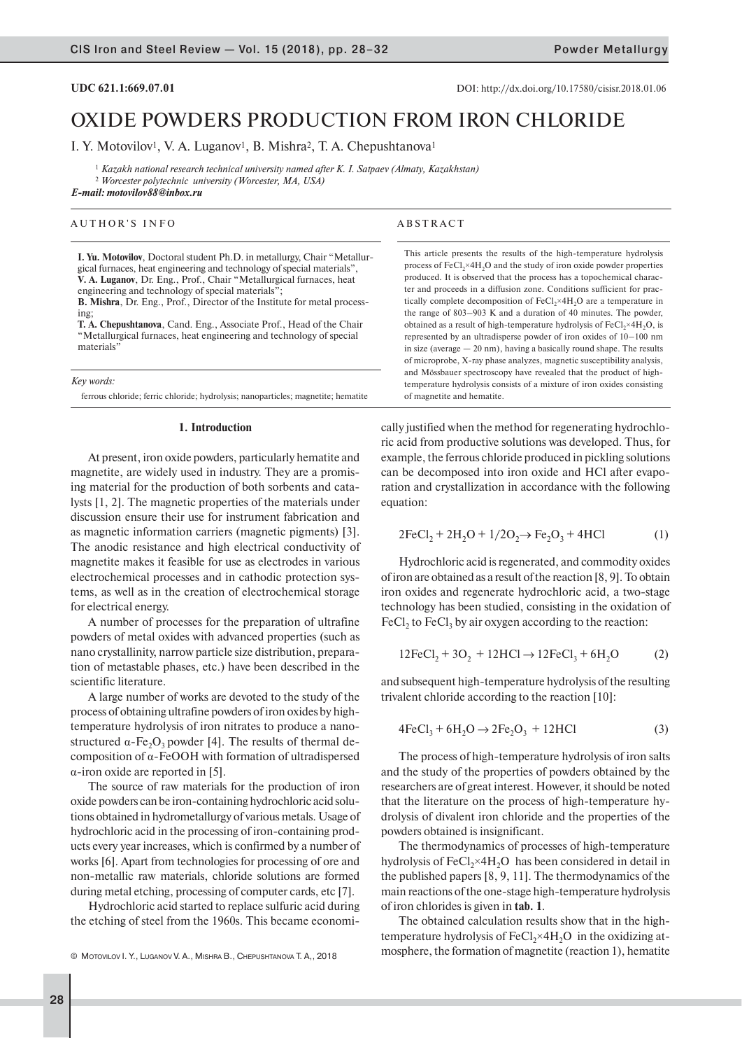**UDC 621.1:669.07.01 DOI:** http://dx.doi.org/10.17580/cisisr.2018.01.06

# OXIDE POWDERS PRODUCTION FROM IRON CHLORIDE

I. Y. Motovilov<sup>1</sup>, V. A. Luganov<sup>1</sup>, B. Mishra<sup>2</sup>, T. A. Chepushtanova<sup>1</sup>

<sup>1</sup> *Kazakh national research technical university named after K. I. Satpaev (Almaty, Kazakhstan)*

<sup>2</sup> *Worcester polytechnic university (Worcester, MA, USA) E-mail: motovilov88@inbox.ru*

# AUTHOR'S INFO

**I. Yu. Motovilov**, Doctoral student Ph.D. in metallurgy, Chair "Metallurgical furnaces, heat engineering and technology of special materials", **V. A. Luganov**, Dr. Eng., Prof., Chair "Metallurgical furnaces, heat engineering and technology of special materials";

**B. Mishra**, Dr. Eng., Prof., Director of the Institute for metal processing;

**T. A. Chepushtanova**, Cand. Eng., Associate Prof., Head of the Chair "Metallurgical furnaces, heat engineering and technology of special materials'

*Key words:*

ferrous chloride; ferric chloride; hydrolysis; nanoparticles; magnetite; hematite

# **1. Introduction**

At present, iron oxide powders, particularly hematite and magnetite, are widely used in industry. They are a promising material for the production of both sorbents and catalysts [1, 2]. The magnetic properties of the materials under discussion ensure their use for instrument fabrication and as magnetic information carriers (magnetic pigments) [3]. The anodic resistance and high electrical conductivity of magnetite makes it feasible for use as electrodes in various electrochemical processes and in cathodic protection systems, as well as in the creation of electrochemical storage for electrical energy.

A number of processes for the preparation of ultrafine powders of metal oxides with advanced properties (such as nano crystallinity, narrow particle size distribution, preparation of metastable phases, etc.) have been described in the scientific literature.

A large number of works are devoted to the study of the process of obtaining ultrafine powders of iron oxides by hightemperature hydrolysis of iron nitrates to produce a nanostructured  $\alpha$ -Fe<sub>2</sub>O<sub>3</sub> powder [4]. The results of thermal decomposition of  $\alpha$ -FeOOH with formation of ultradispersed  $\alpha$ -iron oxide are reported in [5].

The source of raw materials for the production of iron oxide powders can be iron-containing hydrochloric acid solutions obtained in hydrometallurgy of various metals. Usage of hydrochloric acid in the processing of iron-containing products every year increases, which is confirmed by a number of works [6]. Apart from technologies for processing of ore and non-metallic raw materials, chloride solutions are formed during metal etching, processing of computer cards, etc [7].

Hydrochloric acid started to replace sulfuric acid during the etching of steel from the 1960s. This became economi-

# ABSTRACT

This article presents the results of the high-temperature hydrolysis process of  $FeCl<sub>2</sub>×4H<sub>2</sub>O$  and the study of iron oxide powder properties produced. It is observed that the process has a topochemical character and proceeds in a diffusion zone. Conditions sufficient for practically complete decomposition of  $FeCl<sub>2</sub>×4H<sub>2</sub>O$  are a temperature in the range of 803–903 K and a duration of 40 minutes. The powder, obtained as a result of high-temperature hydrolysis of  $FeCl<sub>2</sub>×4H<sub>2</sub>O$ , is represented by an ultradisperse powder of iron oxides of 10–100 nm in size (average — 20 nm), having a basically round shape. The results of microprobe, X-ray phase analyzes, magnetic susceptibility analysis, and Mössbauer spectroscopy have revealed that the product of hightemperature hydrolysis consists of a mixture of iron oxides consisting of magnetite and hematite.

cally justified when the method for regenerating hydrochloric acid from productive solutions was developed. Thus, for example, the ferrous chloride produced in pickling solutions can be decomposed into iron oxide and HCl after evaporation and crystallization in accordance with the following equation:

$$
2FeCl_2 + 2H_2O + 1/2O_2 \to Fe_2O_3 + 4HCl
$$
 (1)

Hydrochloric acid is regenerated, and commodity oxides of iron are obtained as a result of the reaction [8, 9]. To obtain iron oxides and regenerate hydrochloric acid, a two-stage technology has been studied, consisting in the oxidation of  $\text{FeCl}_2$  to  $\text{FeCl}_3$  by air oxygen according to the reaction:

$$
12\text{FeCl}_2 + 3\text{O}_2 + 12\text{HCl} \to 12\text{FeCl}_3 + 6\text{H}_2\text{O} \tag{2}
$$

and subsequent high-temperature hydrolysis of the resulting trivalent chloride according to the reaction [10]:

$$
4\text{FeCl}_3 + 6\text{H}_2\text{O} \rightarrow 2\text{Fe}_2\text{O}_3 + 12\text{HCl}
$$
 (3)

The process of high-temperature hydrolysis of iron salts and the study of the properties of powders obtained by the researchers are of great interest. However, it should be noted that the literature on the process of high-temperature hydrolysis of divalent iron chloride and the properties of the powders obtained is insignificant.

The thermodynamics of processes of high-temperature hydrolysis of  $FeCl<sub>2</sub>×4H<sub>2</sub>O$  has been considered in detail in the published papers [8, 9, 11]. The thermodynamics of the main reactions of the one-stage high-temperature hydrolysis of iron chlorides is given in **tab. 1**.

The obtained calculation results show that in the hightemperature hydrolysis of  $FeCl<sub>2</sub>×4H<sub>2</sub>O$  in the oxidizing atmosphere, the formation of magnetite (reaction 1), hematite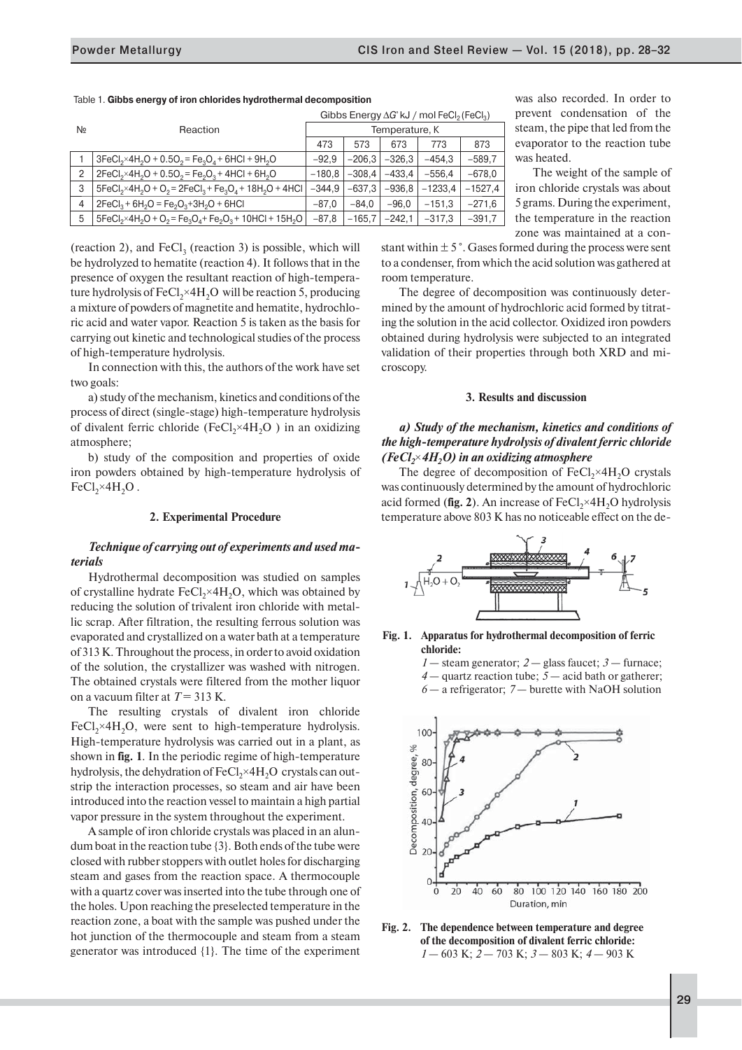|                |                                                                  | Gibbs Energy $\Delta G$ <sup>e</sup> kJ / mol FeCl <sub>2</sub> (FeCl <sub>3</sub> ) |                |          |           |           |  |
|----------------|------------------------------------------------------------------|--------------------------------------------------------------------------------------|----------------|----------|-----------|-----------|--|
| N∘             | Reaction                                                         |                                                                                      | Temperature, K |          |           |           |  |
|                |                                                                  | 473                                                                                  | 573            | 673      | 773       | 873       |  |
|                | $3FeCl2×4H2O + 0.5O2 = Fe3O4 + 6HCl + 9H2O$                      | $-92.9$                                                                              | $-206.3$       | $-326.3$ | $-454.3$  | $-589.7$  |  |
| $\overline{2}$ | $2FeCl2×4H2O + 0.5O2 = Fe2O3 + 4HCl + 6H2O$                      | $-180.8$                                                                             | $-308.4$       | $-433.4$ | $-556.4$  | $-678,0$  |  |
| 3              | $5FeCl_2 \times 4H_2O + O_2 = 2FeCl_3 + Fe_3O_4 + 18H_2O + 4HCl$ | $-344.9$                                                                             | $-637.3$       | $-936.8$ | $-1233.4$ | $-1527,4$ |  |
| 4              | $2FeCl3 + 6H2O = Fe2O3+3H2O + 6HCl$                              | $-87.0$                                                                              | $-84.0$        | $-96.0$  | $-151.3$  | $-271.6$  |  |
| 5              | $5FeCl2×4H2O + O2 = Fe3O4 + Fe2O3 + 10HCl + 15H2O$               | $-87.8$                                                                              | $-165,7$       | $-242.1$ | $-317.3$  | $-391,7$  |  |

Table 1. **Gibbs energy of iron chlorides hydrothermal decomposition**

(reaction 2), and  $FeCl<sub>3</sub>$  (reaction 3) is possible, which will be hydrolyzed to hematite (reaction 4). It follows that in the presence of oxygen the resultant reaction of high-temperature hydrolysis of  $FeCl<sub>2</sub>×4H<sub>2</sub>O$  will be reaction 5, producing a mixture of powders of magnetite and hematite, hydrochloric acid and water vapor. Reaction 5 is taken as the basis for carrying out kinetic and technological studies of the process of high-temperature hydrolysis.

In connection with this, the authors of the work have set two goals:

) study of the mechanism, kinetics and conditions of the process of direct (single-stage) high-temperature hydrolysis of divalent ferric chloride (FeCl<sub>2</sub>×4H<sub>2</sub>O) in an oxidizing atmosphere;

b) study of the composition and properties of oxide iron powders obtained by high-temperature hydrolysis of  $FeCl<sub>2</sub>×4H<sub>2</sub>O$ .

### **2. Experimental Procedure**

# *Technique of carrying out of experiments and used materials*

Hydrothermal decomposition was studied on samples of crystalline hydrate  $FeCl_{2} \times 4H_{2}O$ , which was obtained by reducing the solution of trivalent iron chloride with metallic scrap. After filtration, the resulting ferrous solution was evaporated and crystallized on a water bath at a temperature of 313 K. Throughout the process, in order to avoid oxidation of the solution, the crystallizer was washed with nitrogen. The obtained crystals were filtered from the mother liquor on a vacuum filter at  $T = 313$  K.

The resulting crystals of divalent iron chloride FeCl<sub>2</sub>×4H<sub>2</sub>O, were sent to high-temperature hydrolysis. High-temperature hydrolysis was carried out in a plant, as shown in **fig. 1**. In the periodic regime of high-temperature hydrolysis, the dehydration of  $FeCl<sub>2</sub>×4H<sub>2</sub>O$  crystals can outstrip the interaction processes, so steam and air have been introduced into the reaction vessel to maintain a high partial vapor pressure in the system throughout the experiment.

A sample of iron chloride crystals was placed in an alundum boat in the reaction tube {3}. Both ends of the tube were closed with rubber stoppers with outlet holes for discharging steam and gases from the reaction space. A thermocouple with a quartz cover was inserted into the tube through one of the holes. Upon reaching the preselected temperature in the reaction zone, a boat with the sample was pushed under the hot junction of the thermocouple and steam from a steam generator was introduced {1}. The time of the experiment

was also recorded. In order to prevent condensation of the steam, the pipe that led from the evaporator to the reaction tube was heated.

The weight of the sample of iron chloride crystals was about 5 grams. During the experiment, the temperature in the reaction zone was maintained at a con-

stant within  $\pm 5^{\circ}$ . Gases formed during the process were sent to a condenser, from which the acid solution was gathered at room temperature.

The degree of decomposition was continuously determined by the amount of hydrochloric acid formed by titrating the solution in the acid collector. Oxidized iron powders obtained during hydrolysis were subjected to an integrated validation of their properties through both XRD and microscopy.

# **3. Results and discussion**

# *а) Study of the mechanism, kinetics and conditions of the high-temperature hydrolysis of divalent ferric chloride (FeCl<sub>2</sub>*×4*H<sub>2</sub>O)* in an oxidizing atmosphere

The degree of decomposition of  $FeCl<sub>2</sub>×4H<sub>2</sub>O$  crystals was continuously determined by the amount of hydrochloric acid formed (fig. 2). An increase of FeCl<sub>2</sub>×4H<sub>2</sub>O hydrolysis temperature above 803 K has no noticeable effect on the de-



# **Fig. 1. Apparatus for hydrothermal decomposition of ferric chloride:**

*1* — steam generator; *2* — glass faucet; *3* — furnace; *4* — quartz reaction tube; *5* — acid bath or gatherer; *6* — a refrigerator; *7* — burette with NaOH solution



**Fig. 2. The dependence between temperature and degree of the decomposition of divalent ferric chloride:** *1* — 603 K; *2* — 703 K; *3* — 803 K; *4* — 903 K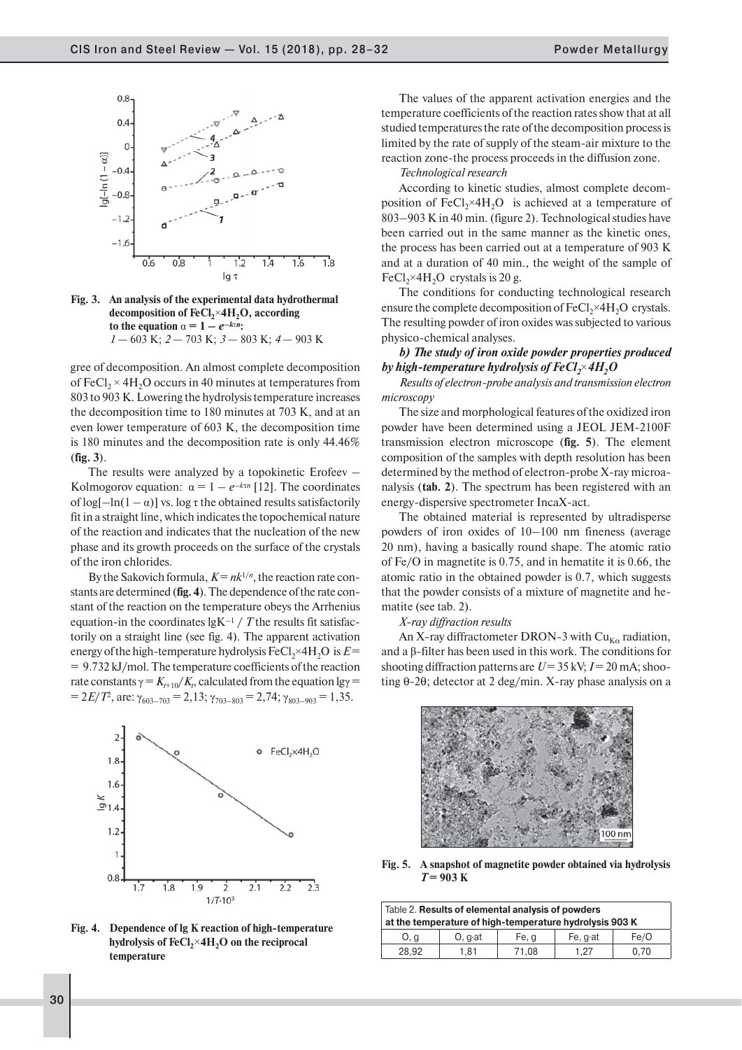

**Fig. 3. An analysis of the experimental data hydrothermal**  decomposition of FeCl<sub>2</sub>×4H<sub>2</sub>O, according **to the equation**  $\alpha = 1 - e^{-k\pi n}$ : *1* — 603 K; *2* — 703 K; *3* — 803 K; *4* — 903 K

gree of decomposition. An almost complete decomposition of FeCl<sub>2</sub>  $\times$  4H<sub>2</sub>O occurs in 40 minutes at temperatures from 803 to 903 K. Lowering the hydrolysis temperature increases the decomposition time to 180 minutes at 703 K, and at an even lower temperature of 603 K, the decomposition time is 180 minutes and the decomposition rate is only 44.46% (**fig. 3**).

The results were analyzed by a topokinetiс Erofeev – Kolmogorov equation:  $\alpha = 1 - e^{-k\tau n}$  [12]. The coordinates of  $log[-ln(1 - \alpha)]$  vs. log  $\tau$  the obtained results satisfactorily fit in a straight line, which indicates the topochemical nature of the reaction and indicates that the nucleation of the new phase and its growth proceeds on the surface of the crystals of the iron chlorides.

By the Sakovich formula,  $K = nk^{1/n}$ , the reaction rate constants are determined (**fig. 4**). The dependence of the rate constant of the reaction on the temperature obeys the Arrhenius equation-in the coordinates  $lgK^{-1}/T$  the results fit satisfactorily on a straight line (see fig. 4). The apparent activation energy of the high-temperature hydrolysis  $FeCl<sub>2</sub>×4H<sub>2</sub>O$  is  $E=$ = 9.732 kJ/mol. The temperature coefficients of the reaction rate constants  $\gamma = K_{t+10}/K_t$ , calculated from the equation  $\lg \gamma =$  $= 2E/T^2$ , are:  $\gamma_{603-703} = 2{,}13$ ;  $\gamma_{703-803} = 2{,}74$ ;  $\gamma_{803-903} = 1{,}35$ .



**Fig. 4. Dependence of lg K reaction of high-temperature**  hydrolysis of FeCl<sub>2</sub>×4H<sub>2</sub>O on the reciprocal **temperature**

The values of the apparent activation energies and the temperature coefficients of the reaction rates show that at all studied temperatures the rate of the decomposition process is limited by the rate of supply of the steam-air mixture to the reaction zone-the process proceeds in the diffusion zone.

#### *Technological research*

According to kinetic studies, almost complete decomposition of FeCl<sub>2</sub>×4H<sub>2</sub>O is achieved at a temperature of 803–903 K in 40 min. (figure 2). Technological studies have been carried out in the same manner as the kinetic ones, the process has been carried out at a temperature of 903 K and at a duration of 40 min., the weight of the sample of FeCl, $\times$ 4H<sub>2</sub>O crystals is 20 g.

The conditions for conducting technological research ensure the complete decomposition of  $FeCl<sub>2</sub>×4H<sub>2</sub>O$  crystals. The resulting powder of iron oxides was subjected to various physico-chemical analyses.

*b) The study of iron oxide powder properties produced by high-temperature hydrolysis of FeCl<sub>2</sub>×4H<sub>2</sub>O* 

*Results of electron-probe analysis and transmission electron microscopy*

The size and morphological features of the oxidized iron powder have been determined using a JEOL JEM-2100F transmission electron microscope (**fig. 5**). The element composition of the samples with depth resolution has been determined by the method of electron-probe X-ray microanalysis (**tab. 2**). The spectrum has been registered with an energy-dispersive spectrometer IncaX-act.

The obtained material is represented by ultradisperse powders of iron oxides of 10–100 nm fineness (average 20 nm), having a basically round shape. The atomic ratio of Fe/О in magnetite is 0.75, and in hematite it is 0.66, the atomic ratio in the obtained powder is 0.7, which suggests that the powder consists of a mixture of magnetite and hematite (see tab. 2).

*X-ray diffraction results*

An X-ray diffractometer DRON-3 with  $Cu_{K\alpha}$  radiation, and a  $\beta$ -filter has been used in this work. The conditions for shooting diffraction patterns are  $U = 35$  kV;  $I = 20$  mA; shooting θ-2θ; detector at 2 deg/min. X-ray phase analysis on a



**Fig. 5. A snapshot of magnetite powder obtained via hydrolysis**  *Т* **= 903 К**

| Table 2. Results of elemental analysis of powders<br>at the temperature of high-temperature hydrolysis 903 K |                 |       |         |      |  |
|--------------------------------------------------------------------------------------------------------------|-----------------|-------|---------|------|--|
| 0. g                                                                                                         | $O. q \cdot at$ | Fe, q | Fe, gat | Fe/O |  |
| 28,92                                                                                                        | 1.81            | 71,08 | 1.27    | 0.70 |  |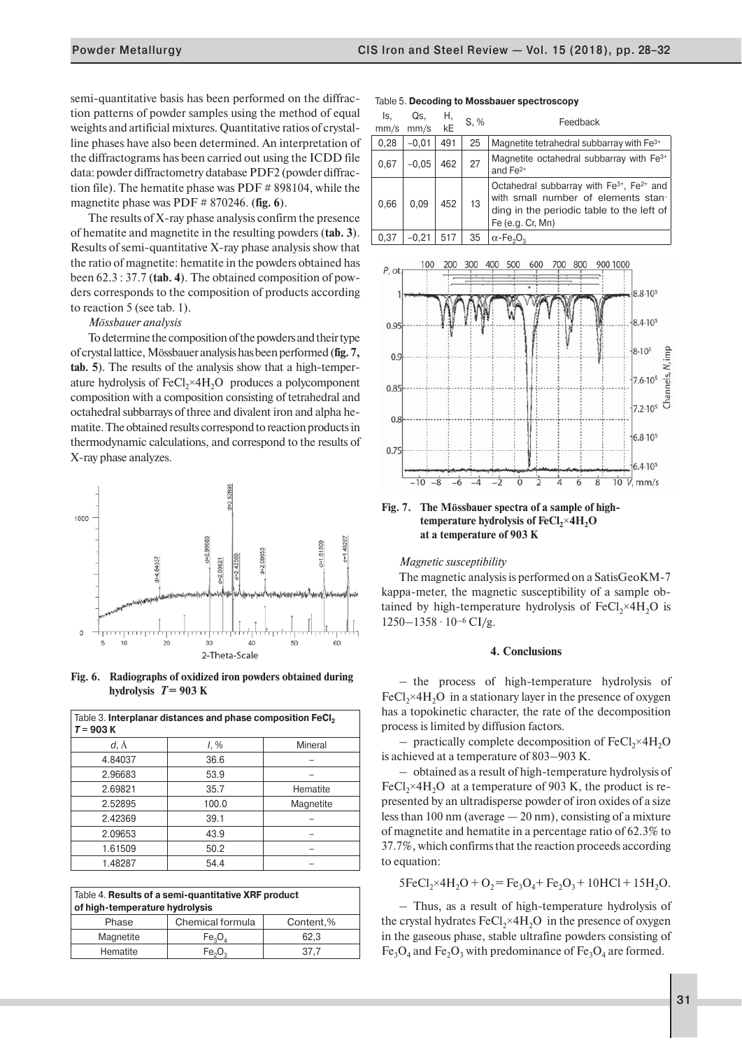semi-quantitative basis has been performed on the diffraction patterns of powder samples using the method of equal weights and artificial mixtures. Quantitative ratios of crystalline phases have also been determined. An interpretation of the diffractograms has been carried out using the ICDD file data: powder diffractometry database PDF2 (powder diffraction file). The hematite phase was PDF # 898104, while the magnetite phase was PDF # 870246. (**fig. 6**).

The results of X-ray phase analysis confirm the presence of hematite and magnetite in the resulting powders (**tab. 3**). Results of semi-quantitative X-ray phase analysis show that the ratio of magnetite: hematite in the powders obtained has been 62.3 : 37.7 (**tab. 4**). The obtained composition of powders corresponds to the composition of products according to reaction 5 (see tab. 1).

*Mössbauer analysis*

To determine the composition of the powders and their type of crystal lattice, Mössbauer analysis has been performed (**fig. 7, tab. 5**). The results of the analysis show that a high-temperature hydrolysis of  $FeCl<sub>2</sub>×4H<sub>2</sub>O$  produces a polycomponent composition with a composition consisting of tetrahedral and octahedral subbarrays of three and divalent iron and alpha hematite. The obtained results correspond to reaction products in thermodynamic calculations, and correspond to the results of X-ray phase analyzes.



**Fig. 6. Radiographs of oxidized iron powders obtained during hydrolysis**  $T = 903$  K

| Table 3. Interplanar distances and phase composition FeCl <sub>2</sub><br>$T = 903 K$ |         |           |  |  |
|---------------------------------------------------------------------------------------|---------|-----------|--|--|
| d, Å                                                                                  | $1, \%$ | Mineral   |  |  |
| 4.84037                                                                               | 36.6    |           |  |  |
| 2.96683                                                                               | 53.9    |           |  |  |
| 2.69821                                                                               | 35.7    | Hematite  |  |  |
| 2.52895                                                                               | 100.0   | Magnetite |  |  |
| 2.42369                                                                               | 39.1    |           |  |  |
| 2.09653                                                                               | 43.9    |           |  |  |
| 1.61509                                                                               | 50.2    |           |  |  |
| 1.48287                                                                               | 54.4    |           |  |  |

| Table 4. Results of a semi-quantitative XRF product<br>of high-temperature hydrolysis |                                |           |  |  |  |
|---------------------------------------------------------------------------------------|--------------------------------|-----------|--|--|--|
| Phase                                                                                 | Chemical formula               | Content,% |  |  |  |
| Magnetite                                                                             | $Fe_3O_4$                      | 62.3      |  |  |  |
| Hematite                                                                              | Fe <sub>2</sub> O <sub>3</sub> | 37.7      |  |  |  |

#### Table 5. **Decoding to Mossbauer spectroscopy**

| ls.<br>mm/s | Qs.<br>mm/s | Η,<br>kE | S, % | Feedback                                                                                                                                                                  |
|-------------|-------------|----------|------|---------------------------------------------------------------------------------------------------------------------------------------------------------------------------|
| 0,28        | $-0.01$     | 491      | 25   | Magnetite tetrahedral subbarray with Fe <sup>3+</sup>                                                                                                                     |
|             |             |          |      |                                                                                                                                                                           |
| 0,67        | $-0.05$     | 462      | 27   | Magnetite octahedral subbarray with Fe <sup>3+</sup><br>and $Fe2+$                                                                                                        |
| 0,66        | 0.09        | 452      | 13   | Octahedral subbarray with Fe <sup>3+</sup> , Fe <sup>2+</sup> and<br>with small number of elements stan-<br>ding in the periodic table to the left of<br>Fe (e.g. Cr, Mn) |
| 0,37        | $-0.21$     | 517      | 35   | $\alpha$ -Fe <sub>2</sub> O <sub>2</sub>                                                                                                                                  |



**Fig. 7. The Mössbauer spectra of a sample of high**temperature hydrolysis of FeCl<sub>2</sub>×4H<sub>2</sub>O **at a temperature of 903 K**

### *Magnetic susceptibility*

The magnetic analysis is performed on a SatisGeoKM-7 kappa-meter, the magnetic susceptibility of a sample obtained by high-temperature hydrolysis of  $FeCl<sub>2</sub>×4H<sub>2</sub>O$  is  $1250 - 1358 \cdot 10^{-6}$  CI/g.

# **4. Conclusions**

– the process of high-temperature hydrolysis of  $FeCl<sub>2</sub>×4H<sub>2</sub>O$  in a stationary layer in the presence of oxygen has a topokinetic character, the rate of the decomposition process is limited by diffusion factors.

 $-$  practically complete decomposition of FeCl<sub>2</sub>×4H<sub>2</sub>O is achieved at a temperature of 803–903 K.

– obtained as a result of high-temperature hydrolysis of FeCl<sub>2</sub>×4H<sub>2</sub>O at a temperature of 903 K, the product is represented by an ultradisperse powder of iron oxides of a size less than 100 nm (average — 20 nm), consisting of a mixture of magnetite and hematite in a percentage ratio of 62.3% to 37.7%, which confirms that the reaction proceeds according to equation:

 $5FeCl<sub>2</sub>×4H<sub>2</sub>O + O<sub>2</sub> = Fe<sub>3</sub>O<sub>4</sub> + Fe<sub>2</sub>O<sub>3</sub> + 10HCl + 15H<sub>2</sub>O.$ 

– Thus, as a result of high-temperature hydrolysis of the crystal hydrates  $FeCl<sub>2</sub>×4H<sub>2</sub>O$  in the presence of oxygen in the gaseous phase, stable ultrafine powders consisting of  $Fe<sub>3</sub>O<sub>4</sub>$  and  $Fe<sub>2</sub>O<sub>3</sub>$  with predominance of  $Fe<sub>3</sub>O<sub>4</sub>$  are formed.